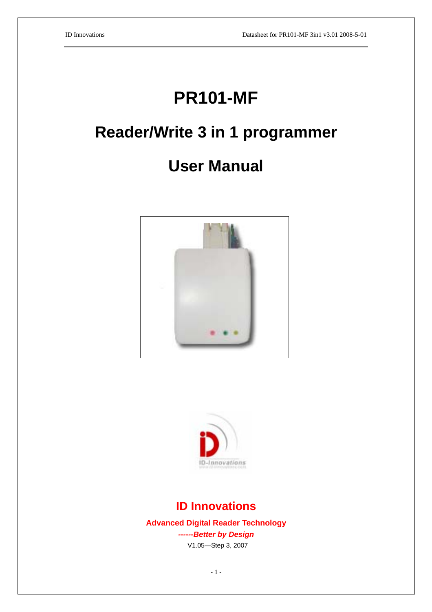# **PR101-MF**

# **Reader/Write 3 in 1 programmer**

# **User Manual**





## **ID Innovations**

**Advanced Digital Reader Technology** *------Better by Design*  V1.05—Step 3, 2007

- 1 -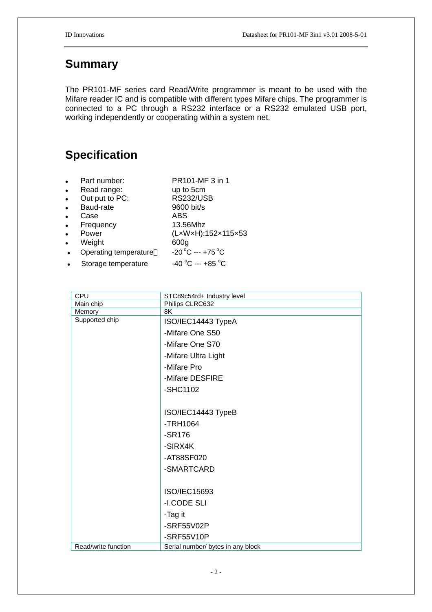## **Summary**

The PR101-MF series card Read/Write programmer is meant to be used with the Mifare reader IC and is compatible with different types Mifare chips. The programmer is connected to a PC through a RS232 interface or a RS232 emulated USB port, working independently or cooperating within a system net.

## **Specification**

- Part number: PR101-MF 3 in 1
- Read range: up to 5cm
- Out put to PC: RS232/USB
- Baud-rate 9600 bit/s
- 
- Frequency
- 
- Weight 600g
- Case ABS<br>Frequency 13.56Mhz Power (LxWxH):152x115x53 Operating temperature  $-20\degree C$  ---+75  $\degree C$
- Storage temperature C --- +85 °C

| <b>CPU</b>          | STC89c54rd+ Industry level        |  |  |  |  |  |
|---------------------|-----------------------------------|--|--|--|--|--|
| Main chip           | Philips CLRC632                   |  |  |  |  |  |
| Memory              | 8K                                |  |  |  |  |  |
| Supported chip      | ISO/IEC14443 TypeA                |  |  |  |  |  |
|                     | -Mifare One S50                   |  |  |  |  |  |
|                     | -Mifare One S70                   |  |  |  |  |  |
|                     | -Mifare Ultra Light               |  |  |  |  |  |
|                     | -Mifare Pro                       |  |  |  |  |  |
|                     | -Mifare DESFIRE                   |  |  |  |  |  |
|                     | -SHC1102                          |  |  |  |  |  |
|                     |                                   |  |  |  |  |  |
|                     | ISO/IEC14443 TypeB                |  |  |  |  |  |
|                     | $-TRH1064$                        |  |  |  |  |  |
|                     | $-SR176$                          |  |  |  |  |  |
|                     | -SIRX4K                           |  |  |  |  |  |
|                     | -AT88SF020                        |  |  |  |  |  |
|                     | -SMARTCARD                        |  |  |  |  |  |
|                     |                                   |  |  |  |  |  |
|                     | ISO/IEC15693                      |  |  |  |  |  |
|                     | -I.CODE SLI                       |  |  |  |  |  |
|                     | -Tag it                           |  |  |  |  |  |
|                     | -SRF55V02P                        |  |  |  |  |  |
|                     | -SRF55V10P                        |  |  |  |  |  |
| Read/write function | Serial number/ bytes in any block |  |  |  |  |  |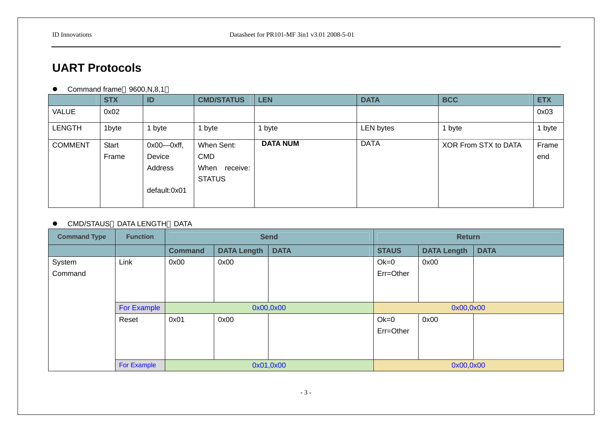# **UART Protocols**

• Command frame 9600, N, 8, 1

|                | <b>STX</b>   | ID                | <b>CMD/STATUS</b> | <b>LEN</b>      | <b>DATA</b>      | <b>BCC</b>           | <b>ETX</b> |
|----------------|--------------|-------------------|-------------------|-----------------|------------------|----------------------|------------|
| VALUE          | 0x02         |                   |                   |                 |                  |                      | 0x03       |
| <b>LENGTH</b>  | 1byte        | byte              | 1 byte            | byte            | <b>LEN bytes</b> | i byte               | 1 byte     |
| <b>COMMENT</b> | <b>Start</b> | $0x00$ - $0xff$ , | When Sent:        | <b>DATA NUM</b> | <b>DATA</b>      | XOR From STX to DATA | Frame      |
|                | Frame        | Device            | <b>CMD</b>        |                 |                  |                      | end        |
|                |              | Address           | When<br>receive:  |                 |                  |                      |            |
|                |              |                   | <b>STATUS</b>     |                 |                  |                      |            |
|                |              | default:0x01      |                   |                 |                  |                      |            |
|                |              |                   |                   |                 |                  |                      |            |

### $\bullet$  CMD/STAUS DATA\_LENGTH DATA

| <b>Command Type</b> | <b>Function</b> | <b>Send</b>    |                    |             | <b>Return</b> |                    |             |  |
|---------------------|-----------------|----------------|--------------------|-------------|---------------|--------------------|-------------|--|
|                     |                 | <b>Command</b> | <b>DATA Length</b> | <b>DATA</b> | <b>STAUS</b>  | <b>DATA Length</b> | <b>DATA</b> |  |
| System              | Link            | 0x00           | 0x00               |             | $Ok=0$        | 0x00               |             |  |
| Command             |                 |                |                    |             | Err=Other     |                    |             |  |
|                     |                 |                |                    |             |               |                    |             |  |
|                     |                 |                |                    |             |               |                    |             |  |
|                     | For Example     |                |                    | 0x00,0x00   | 0x00,0x00     |                    |             |  |
|                     | Reset           | 0x01           | 0x00               |             | $Ok=0$        | 0x00               |             |  |
|                     |                 |                |                    |             | Err=Other     |                    |             |  |
|                     |                 |                |                    |             |               |                    |             |  |
|                     |                 |                |                    |             |               |                    |             |  |
|                     | For Example     |                |                    | 0x01,0x00   | 0x00,0x00     |                    |             |  |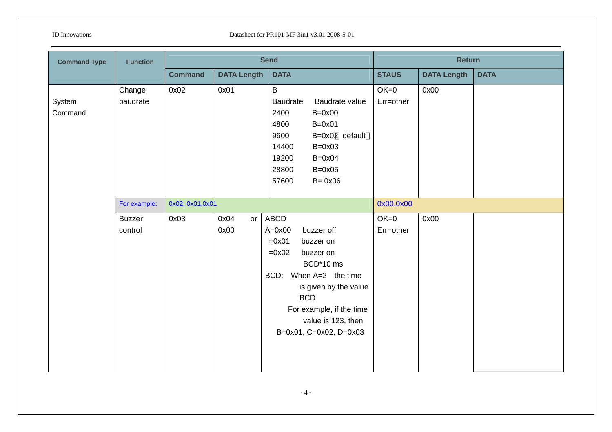| <b>Command Type</b> | <b>Function</b>          |                 |                    | <b>Send</b>                                                                                                                                                                                                                                          | <b>Return</b>       |                    |             |  |
|---------------------|--------------------------|-----------------|--------------------|------------------------------------------------------------------------------------------------------------------------------------------------------------------------------------------------------------------------------------------------------|---------------------|--------------------|-------------|--|
|                     |                          | <b>Command</b>  | <b>DATA Length</b> | <b>DATA</b>                                                                                                                                                                                                                                          | <b>STAUS</b>        | <b>DATA Length</b> | <b>DATA</b> |  |
| System<br>Command   | Change<br>baudrate       | 0x02            | 0x01               | $\mathsf B$<br>Baudrate<br>Baudrate value<br>2400<br>$B=0x00$<br>4800<br>$B=0x01$<br>9600<br>B=0x02 default<br>14400<br>$B=0x03$<br>19200<br>$B=0x04$<br>28800<br>$B=0x05$<br>57600<br>$B = 0x06$                                                    | $OK=0$<br>Err=other | 0x00               |             |  |
|                     | For example:             | 0x02, 0x01,0x01 |                    |                                                                                                                                                                                                                                                      | 0x00,0x00           |                    |             |  |
|                     | <b>Buzzer</b><br>control | 0x03            | 0x04<br>or<br>0x00 | <b>ABCD</b><br>$A=0x00$<br>buzzer off<br>$=0x01$<br>buzzer on<br>$=0x02$<br>buzzer on<br>BCD*10 ms<br>When $A=2$ the time<br>BCD:<br>is given by the value<br><b>BCD</b><br>For example, if the time<br>value is 123, then<br>B=0x01, C=0x02, D=0x03 | $OK=0$<br>Err=other | 0x00               |             |  |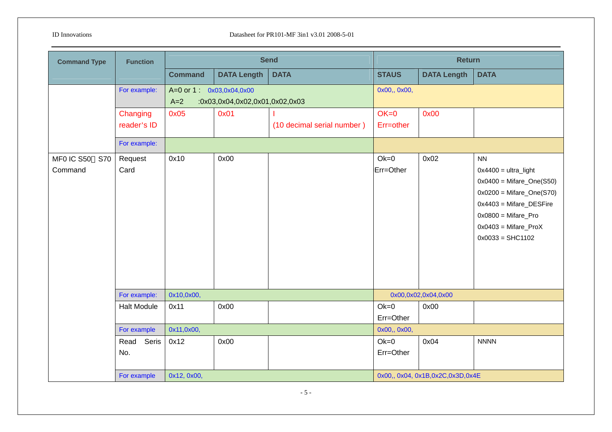| <b>Command Type</b>                 | <b>Function</b>         |                                  | <b>Send</b>                    |                            |                     | <b>Return</b>                       |                                                                                                                                                                                                        |
|-------------------------------------|-------------------------|----------------------------------|--------------------------------|----------------------------|---------------------|-------------------------------------|--------------------------------------------------------------------------------------------------------------------------------------------------------------------------------------------------------|
|                                     |                         | <b>Command</b>                   | <b>DATA Length</b>             | <b>DATA</b>                | <b>STAUS</b>        | <b>DATA Length</b>                  | <b>DATA</b>                                                                                                                                                                                            |
|                                     | For example:            | A=0 or 1 0x03,0x04,0x00<br>$A=2$ | :0x03,0x04,0x02,0x01,0x02,0x03 |                            | 0x00,, 0x00,        |                                     |                                                                                                                                                                                                        |
|                                     | Changing<br>reader's ID | 0x05                             | 0x01                           | (10 decimal serial number) | $OK=0$<br>Err=other | 0x00                                |                                                                                                                                                                                                        |
|                                     | For example:            |                                  |                                |                            |                     |                                     |                                                                                                                                                                                                        |
| MFO IC S50<br><b>S70</b><br>Command | Request<br>Card         | 0x10                             | 0x00                           |                            | $Ok=0$<br>Err=Other | 0x02                                | <b>NN</b><br>$0x4400 = $ ultra_light<br>$0x0400 =$ Mifare_One(S50)<br>$0x0200 =$ Mifare_One(S70)<br>$0x4403$ = Mifare_DESFire<br>$0x0800 =$ Mifare_Pro<br>$0x0403$ = Mifare_ProX<br>$0x0033 = SHC1102$ |
|                                     | For example:            | 0x10,0x00,                       |                                |                            |                     | 0x00,0x02,0x04,0x00                 |                                                                                                                                                                                                        |
|                                     | <b>Halt Module</b>      | 0x11                             | 0x00                           |                            | $Ok=0$<br>Err=Other | 0x00                                |                                                                                                                                                                                                        |
|                                     | For example             | 0x11,0x00,                       |                                |                            | 0x00,, 0x00,        |                                     |                                                                                                                                                                                                        |
|                                     | Read<br>Seris<br>No.    | 0x12                             | 0x00                           |                            | $Ok=0$<br>Err=Other | 0x04                                | <b>NNNN</b>                                                                                                                                                                                            |
|                                     | For example             | 0x12, 0x00,                      |                                |                            |                     | 0x00,, 0x04, 0x1B, 0x2C, 0x3D, 0x4E |                                                                                                                                                                                                        |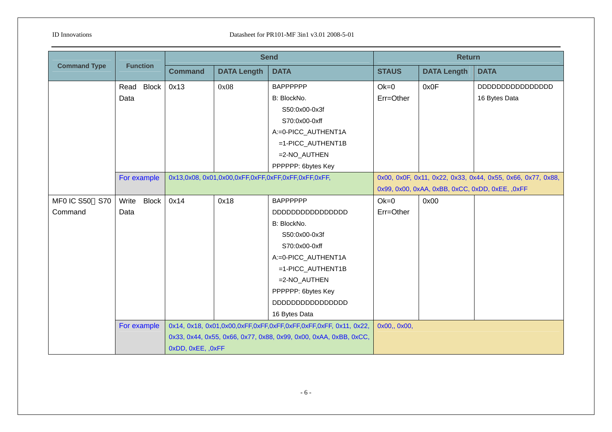|                          |                       |                   |                    | <b>Send</b>                                                       |              | <b>Return</b>      |                                                             |  |  |
|--------------------------|-----------------------|-------------------|--------------------|-------------------------------------------------------------------|--------------|--------------------|-------------------------------------------------------------|--|--|
| <b>Command Type</b>      | <b>Function</b>       | <b>Command</b>    | <b>DATA Length</b> | <b>DATA</b>                                                       | <b>STAUS</b> | <b>DATA Length</b> | <b>DATA</b>                                                 |  |  |
|                          | Read Block            | 0x13              | 0x08               | <b>BAPPPPPP</b>                                                   | $Ok=0$       | 0x0F               |                                                             |  |  |
|                          | Data                  |                   |                    | B: BlockNo.                                                       | Err=Other    |                    | 16 Bytes Data                                               |  |  |
|                          |                       |                   |                    | S50:0x00-0x3f                                                     |              |                    |                                                             |  |  |
|                          |                       |                   |                    | S70:0x00-0xff                                                     |              |                    |                                                             |  |  |
|                          |                       |                   |                    | A:=0-PICC_AUTHENT1A                                               |              |                    |                                                             |  |  |
|                          |                       |                   |                    | =1-PICC_AUTHENT1B                                                 |              |                    |                                                             |  |  |
|                          |                       |                   |                    | $=2-NO_AUTHEN$                                                    |              |                    |                                                             |  |  |
|                          |                       |                   |                    | PPPPPP: 6bytes Key                                                |              |                    |                                                             |  |  |
|                          | For example           |                   |                    |                                                                   |              |                    | 0x00, 0x0F, 0x11, 0x22, 0x33, 0x44, 0x55, 0x66, 0x77, 0x88, |  |  |
|                          |                       |                   |                    |                                                                   |              |                    | 0x99, 0x00, 0xAA, 0xBB, 0xCC, 0xDD, 0xEE, ,0xFF             |  |  |
| MF0 IC S50<br><b>S70</b> | <b>Block</b><br>Write | 0x14              | 0x18               | <b>BAPPPPPP</b>                                                   | $Ok=0$       | 0x00               |                                                             |  |  |
| Command                  | Data                  |                   |                    |                                                                   | Err=Other    |                    |                                                             |  |  |
|                          |                       |                   |                    | B: BlockNo.                                                       |              |                    |                                                             |  |  |
|                          |                       |                   |                    | S50:0x00-0x3f                                                     |              |                    |                                                             |  |  |
|                          |                       |                   |                    | S70:0x00-0xff                                                     |              |                    |                                                             |  |  |
|                          |                       |                   |                    | A:=0-PICC_AUTHENT1A                                               |              |                    |                                                             |  |  |
|                          |                       |                   |                    | =1-PICC_AUTHENT1B                                                 |              |                    |                                                             |  |  |
|                          |                       |                   |                    | $=2-NO_AUTHEN$                                                    |              |                    |                                                             |  |  |
|                          |                       |                   |                    | PPPPPP: 6bytes Key                                                |              |                    |                                                             |  |  |
|                          |                       |                   |                    |                                                                   |              |                    |                                                             |  |  |
|                          |                       |                   |                    | 16 Bytes Data                                                     |              |                    |                                                             |  |  |
|                          | For example           |                   |                    |                                                                   | 0x00,, 0x00, |                    |                                                             |  |  |
|                          |                       |                   |                    | 0x33, 0x44, 0x55, 0x66, 0x77, 0x88, 0x99, 0x00, 0xAA, 0xBB, 0xCC, |              |                    |                                                             |  |  |
|                          |                       | 0xDD, 0xEE, ,0xFF |                    |                                                                   |              |                    |                                                             |  |  |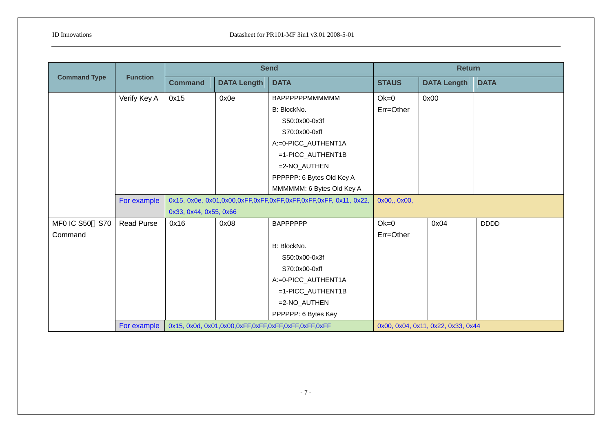|                          |                   |                        |                    | <b>Send</b>                                                |              | <b>Return</b>                      |             |
|--------------------------|-------------------|------------------------|--------------------|------------------------------------------------------------|--------------|------------------------------------|-------------|
| <b>Command Type</b>      | <b>Function</b>   | <b>Command</b>         | <b>DATA Length</b> | <b>DATA</b>                                                | <b>STAUS</b> | <b>DATA Length</b>                 | <b>DATA</b> |
|                          | Verify Key A      | 0x15                   | 0x0e               | ВАРРРРРРММММММ                                             | $Ok=0$       | 0x00                               |             |
|                          |                   |                        |                    | B: BlockNo.                                                | Err=Other    |                                    |             |
|                          |                   |                        |                    | S50:0x00-0x3f                                              |              |                                    |             |
|                          |                   |                        |                    | S70:0x00-0xff                                              |              |                                    |             |
|                          |                   |                        |                    | A:=0-PICC_AUTHENT1A                                        |              |                                    |             |
|                          |                   |                        |                    | =1-PICC_AUTHENT1B                                          |              |                                    |             |
|                          |                   |                        |                    | =2-NO_AUTHEN                                               |              |                                    |             |
|                          |                   |                        |                    | PPPPPP: 6 Bytes Old Key A                                  |              |                                    |             |
|                          |                   |                        |                    | MMMMMM: 6 Bytes Old Key A                                  |              |                                    |             |
|                          | For example       |                        |                    |                                                            | 0x00,, 0x00, |                                    |             |
|                          |                   | 0x33, 0x44, 0x55, 0x66 |                    |                                                            |              |                                    |             |
| MF0 IC S50<br><b>S70</b> | <b>Read Purse</b> | 0x16                   | 0x08               | <b>BAPPPPPP</b>                                            | $Ok=0$       | 0x04                               | <b>DDDD</b> |
| Command                  |                   |                        |                    |                                                            | Err=Other    |                                    |             |
|                          |                   |                        |                    | B: BlockNo.                                                |              |                                    |             |
|                          |                   |                        |                    | S50:0x00-0x3f                                              |              |                                    |             |
|                          |                   |                        |                    | S70:0x00-0xff                                              |              |                                    |             |
|                          |                   |                        |                    | A:=0-PICC_AUTHENT1A                                        |              |                                    |             |
|                          |                   |                        |                    | =1-PICC_AUTHENT1B                                          |              |                                    |             |
|                          |                   |                        |                    | =2-NO_AUTHEN                                               |              |                                    |             |
|                          |                   |                        |                    | PPPPPP: 6 Bytes Key                                        |              |                                    |             |
|                          | For example       |                        |                    | 0x15, 0x0d, 0x01, 0x00, 0xFF, 0xFF, 0xFF, 0xFF, 0xFF, 0xFF |              | 0x00, 0x04, 0x11, 0x22, 0x33, 0x44 |             |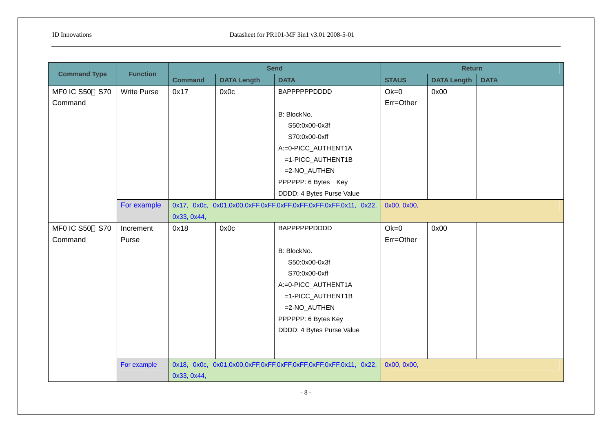| <b>Command Type</b>      | <b>Function</b>    |                |                    | <b>Send</b>               |              | <b>Return</b>      |             |  |  |
|--------------------------|--------------------|----------------|--------------------|---------------------------|--------------|--------------------|-------------|--|--|
|                          |                    | <b>Command</b> | <b>DATA Length</b> | <b>DATA</b>               | <b>STAUS</b> | <b>DATA Length</b> | <b>DATA</b> |  |  |
| MF0 IC S50 S70           | <b>Write Purse</b> | 0x17           | 0x0c               | <b>BAPPPPPPDDDD</b>       | $Ok=0$       | 0x00               |             |  |  |
| Command                  |                    |                |                    |                           | Err=Other    |                    |             |  |  |
|                          |                    |                |                    | B: BlockNo.               |              |                    |             |  |  |
|                          |                    |                |                    | S50:0x00-0x3f             |              |                    |             |  |  |
|                          |                    |                |                    | S70:0x00-0xff             |              |                    |             |  |  |
|                          |                    |                |                    | A:=0-PICC_AUTHENT1A       |              |                    |             |  |  |
|                          |                    |                |                    | =1-PICC_AUTHENT1B         |              |                    |             |  |  |
|                          |                    |                |                    | =2-NO_AUTHEN              |              |                    |             |  |  |
|                          |                    |                |                    | PPPPPP: 6 Bytes Key       |              |                    |             |  |  |
|                          |                    |                |                    | DDDD: 4 Bytes Purse Value |              |                    |             |  |  |
|                          | For example        |                |                    |                           | 0x00, 0x00,  |                    |             |  |  |
|                          |                    | 0x33, 0x44,    |                    |                           |              |                    |             |  |  |
| MF0 IC S50<br><b>S70</b> | Increment          | 0x18           | 0x0c               | <b>BAPPPPPPDDDD</b>       | $Ok=0$       | 0x00               |             |  |  |
| Command                  | Purse              |                |                    |                           | Err=Other    |                    |             |  |  |
|                          |                    |                |                    | B: BlockNo.               |              |                    |             |  |  |
|                          |                    |                |                    | S50:0x00-0x3f             |              |                    |             |  |  |
|                          |                    |                |                    | S70:0x00-0xff             |              |                    |             |  |  |
|                          |                    |                |                    | A:=0-PICC_AUTHENT1A       |              |                    |             |  |  |
|                          |                    |                |                    | =1-PICC_AUTHENT1B         |              |                    |             |  |  |
|                          |                    |                |                    | =2-NO_AUTHEN              |              |                    |             |  |  |
|                          |                    |                |                    | PPPPPP: 6 Bytes Key       |              |                    |             |  |  |
|                          |                    |                |                    | DDDD: 4 Bytes Purse Value |              |                    |             |  |  |
|                          |                    |                |                    |                           |              |                    |             |  |  |
|                          |                    |                |                    |                           |              |                    |             |  |  |
|                          | For example        |                |                    |                           | 0x00, 0x00,  |                    |             |  |  |
|                          |                    | 0x33, 0x44,    |                    |                           |              |                    |             |  |  |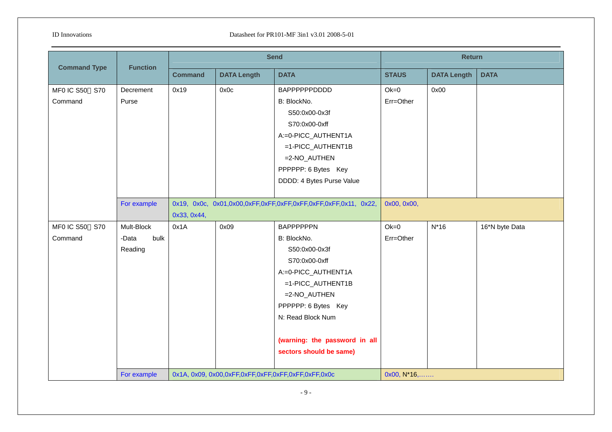| <b>Command Type</b>       | <b>Function</b>                        | <b>Send</b>    |                    |                                                                                                                                                                                                                                       | <b>Return</b>        |                    |                |  |
|---------------------------|----------------------------------------|----------------|--------------------|---------------------------------------------------------------------------------------------------------------------------------------------------------------------------------------------------------------------------------------|----------------------|--------------------|----------------|--|
|                           |                                        | <b>Command</b> | <b>DATA Length</b> | <b>DATA</b>                                                                                                                                                                                                                           | <b>STAUS</b>         | <b>DATA Length</b> | <b>DATA</b>    |  |
| MF0 IC S50 S70<br>Command | Decrement<br>Purse                     | 0x19           | 0x0c               | BAPPPPPPDDDD<br>B: BlockNo.<br>S50:0x00-0x3f<br>S70:0x00-0xff<br>A:=0-PICC_AUTHENT1A                                                                                                                                                  | $Ok=0$<br>Err=Other  | 0x00               |                |  |
|                           |                                        |                |                    | =1-PICC_AUTHENT1B<br>=2-NO_AUTHEN<br>PPPPPP: 6 Bytes Key<br>DDDD: 4 Bytes Purse Value                                                                                                                                                 |                      |                    |                |  |
|                           | For example                            | 0x33, 0x44,    |                    |                                                                                                                                                                                                                                       | 0x00, 0x00,          |                    |                |  |
| MF0 IC S50 S70<br>Command | Mult-Block<br>bulk<br>-Data<br>Reading | 0x1A           | 0x09               | <b>BAPPPPPPN</b><br>B: BlockNo.<br>S50:0x00-0x3f<br>S70:0x00-0xff<br>A:=0-PICC_AUTHENT1A<br>=1-PICC_AUTHENT1B<br>=2-NO_AUTHEN<br>PPPPPP: 6 Bytes Key<br>N: Read Block Num<br>(warning: the password in all<br>sectors should be same) | $Ok=0$<br>Err=Other  | $N*16$             | 16*N byte Data |  |
|                           | For example                            |                |                    | 0x1A, 0x09, 0x00,0xFF,0xFF,0xFF,0xFF,0xFF,0xFF,0x0c                                                                                                                                                                                   | $0x00, N*16, \ldots$ |                    |                |  |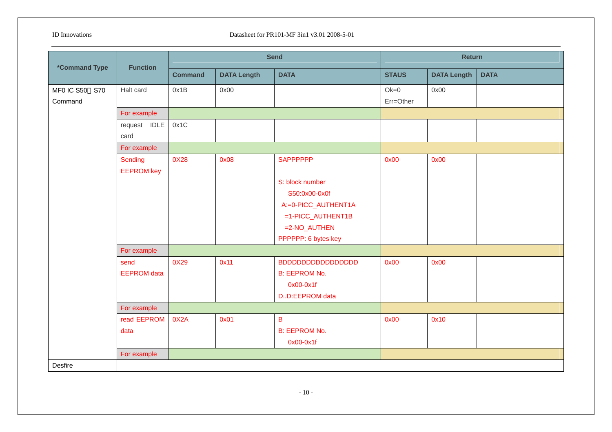| <i><b>*Command Type</b></i> | <b>Function</b>                    | <b>Send</b>    |                    |                                                                                                                     | <b>Return</b>       |                    |             |  |
|-----------------------------|------------------------------------|----------------|--------------------|---------------------------------------------------------------------------------------------------------------------|---------------------|--------------------|-------------|--|
|                             |                                    | <b>Command</b> | <b>DATA Length</b> | <b>DATA</b>                                                                                                         | <b>STAUS</b>        | <b>DATA Length</b> | <b>DATA</b> |  |
| MF0 IC S50 S70<br>Command   | Halt card                          | 0x1B           | 0x00               |                                                                                                                     | $Ok=0$<br>Err=Other | 0x00               |             |  |
|                             | For example                        |                |                    |                                                                                                                     |                     |                    |             |  |
|                             | request IDLE<br>card               | 0x1C           |                    |                                                                                                                     |                     |                    |             |  |
|                             | For example                        |                |                    |                                                                                                                     |                     |                    |             |  |
|                             | Sending<br><b>EEPROM key</b>       | 0X28           | 0x08               | <b>SAPPPPPP</b>                                                                                                     | 0x00                | 0x00               |             |  |
|                             |                                    |                |                    | S: block number<br>S50:0x00-0x0f<br>A:=0-PICC_AUTHENT1A<br>=1-PICC_AUTHENT1B<br>=2-NO_AUTHEN<br>PPPPPP: 6 bytes key |                     |                    |             |  |
|                             | For example                        |                |                    |                                                                                                                     |                     |                    |             |  |
|                             | send<br><b>EEPROM</b> data         | 0X29           | 0x11               | <b>B: EEPROM No.</b><br>0x00-0x1f<br>DD:EEPROM data                                                                 | 0x00                | 0x00               |             |  |
|                             | For example                        |                |                    |                                                                                                                     |                     |                    |             |  |
|                             | read EEPROM<br>data<br>For example | 0X2A           | 0x01               | $\sf{B}$<br><b>B: EEPROM No.</b><br>0x00-0x1f                                                                       | 0x00                | 0x10               |             |  |
| Desfire                     |                                    |                |                    |                                                                                                                     |                     |                    |             |  |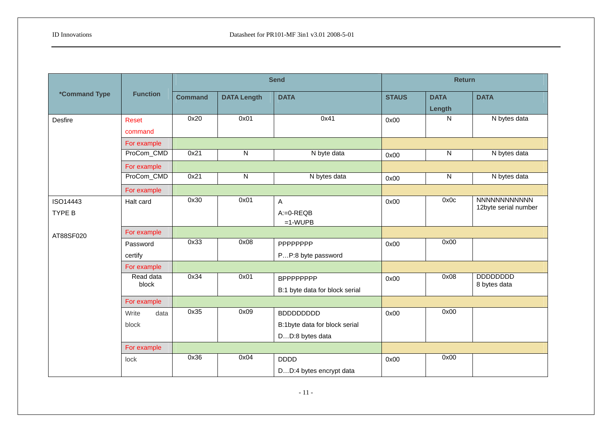|                             |                          |                | <b>Send</b>        |                                |              | <b>Return</b>  |                                      |  |  |
|-----------------------------|--------------------------|----------------|--------------------|--------------------------------|--------------|----------------|--------------------------------------|--|--|
| <i><b>*Command Type</b></i> | <b>Function</b>          | <b>Command</b> | <b>DATA Length</b> | <b>DATA</b>                    | <b>STAUS</b> | <b>DATA</b>    | <b>DATA</b>                          |  |  |
|                             |                          |                |                    |                                |              | Length         |                                      |  |  |
| Desfire                     | <b>Reset</b>             | 0x20           | 0x01               | 0x41                           | 0x00         | N              | N bytes data                         |  |  |
|                             | command                  |                |                    |                                |              |                |                                      |  |  |
|                             | For example              |                |                    |                                |              |                |                                      |  |  |
|                             | ProCom_CMD               | 0x21           | N                  | N byte data                    | 0x00         | ${\sf N}$      | N bytes data                         |  |  |
|                             | For example              |                |                    |                                |              |                |                                      |  |  |
|                             | ProCom_CMD               | 0x21           | N                  | N bytes data                   | 0x00         | $\overline{N}$ | N bytes data                         |  |  |
|                             | For example              |                |                    |                                |              |                |                                      |  |  |
| ISO14443                    | Halt card                | 0x30           | 0x01               | A                              | 0x00         | 0x0c           | NNNNNNNNNNNN<br>12byte serial number |  |  |
| TYPE B                      |                          |                |                    | $A:=0-REQB$                    |              |                |                                      |  |  |
|                             |                          |                |                    | $=1$ -WUPB                     |              |                |                                      |  |  |
| AT88SF020                   | For example              | 0x33           | 0x08               |                                |              | 0x00           |                                      |  |  |
|                             | Password                 |                |                    | PPPPPPPP                       | 0x00         |                |                                      |  |  |
|                             | certify                  |                |                    | PP:8 byte password             |              |                |                                      |  |  |
|                             | For example<br>Read data | 0x34           | 0x01               | <b>BPPPPPPPP</b>               |              | 0x08           | <b>DDDDDDDDD</b>                     |  |  |
|                             | block                    |                |                    |                                | 0x00         |                | 8 bytes data                         |  |  |
|                             |                          |                |                    | B:1 byte data for block serial |              |                |                                      |  |  |
|                             | For example              | 0x35           | 0x09               |                                |              | 0x00           |                                      |  |  |
|                             | Write<br>data            |                |                    | <b>BDDDDDDDD</b>               | 0x00         |                |                                      |  |  |
|                             | block                    |                |                    | B:1byte data for block serial  |              |                |                                      |  |  |
|                             |                          |                |                    | DD:8 bytes data                |              |                |                                      |  |  |
|                             | For example              |                |                    |                                |              |                |                                      |  |  |
|                             | lock                     | 0x36           | 0x04               | <b>DDDD</b>                    | 0x00         | 0x00           |                                      |  |  |
|                             |                          |                |                    | DD:4 bytes encrypt data        |              |                |                                      |  |  |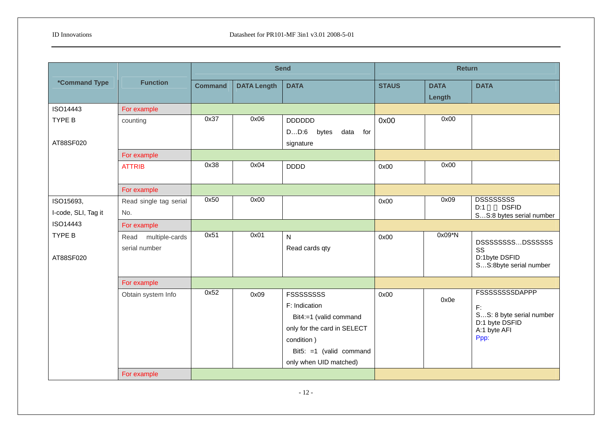|                             |                        |                |                    | <b>Send</b>                  |              | <b>Return</b>         |                                                 |
|-----------------------------|------------------------|----------------|--------------------|------------------------------|--------------|-----------------------|-------------------------------------------------|
| <i><b>*Command Type</b></i> | <b>Function</b>        | <b>Command</b> | <b>DATA Length</b> | <b>DATA</b>                  | <b>STAUS</b> | <b>DATA</b><br>Length | <b>DATA</b>                                     |
| ISO14443                    | For example            |                |                    |                              |              |                       |                                                 |
| TYPE B                      | counting               | 0x37           | 0x06               | <b>DDDDDD</b>                | 0x00         | 0x00                  |                                                 |
|                             |                        |                |                    | DD:6<br>bytes<br>data<br>for |              |                       |                                                 |
| AT88SF020                   |                        |                |                    | signature                    |              |                       |                                                 |
|                             | For example            |                |                    |                              |              |                       |                                                 |
|                             | <b>ATTRIB</b>          | 0x38           | 0x04               | <b>DDDD</b>                  | 0x00         | 0x00                  |                                                 |
|                             |                        |                |                    |                              |              |                       |                                                 |
|                             | For example            |                |                    |                              |              |                       |                                                 |
| ISO15693,                   | Read single tag serial | 0x50           | 0x00               |                              | 0x00         | 0x09                  | <b>DSSSSSSSS</b>                                |
| I-code, SLI, Tag it         | No.                    |                |                    |                              |              |                       | <b>DSFID</b><br>D:1<br>SS:8 bytes serial number |
| ISO14443                    | For example            |                |                    |                              |              |                       |                                                 |
| <b>TYPE B</b>               | Read multiple-cards    | 0x51           | 0x01               | N                            | 0x00         | $0x09*N$              |                                                 |
|                             | serial number          |                |                    | Read cards qty               |              |                       | DSSSSSSSSDSSSSSSS<br>SS                         |
| AT88SF020                   |                        |                |                    |                              |              |                       | D:1byte DSFID                                   |
|                             |                        |                |                    |                              |              |                       | SS:8byte serial number                          |
|                             | For example            |                |                    |                              |              |                       |                                                 |
|                             | Obtain system Info     | 0x52           | 0x09               | <b>FSSSSSSSSS</b>            | 0x00         |                       | <b>FSSSSSSSSDAPPP</b>                           |
|                             |                        |                |                    | F: Indication                |              | 0x0e                  | F:                                              |
|                             |                        |                |                    | Bit4:=1 (valid command       |              |                       | SS: 8 byte serial number                        |
|                             |                        |                |                    | only for the card in SELECT  |              |                       | D:1 byte DSFID<br>A:1 byte AFI                  |
|                             |                        |                |                    | condition)                   |              |                       | Ppp:                                            |
|                             |                        |                |                    | Bit5: =1 (valid command      |              |                       |                                                 |
|                             |                        |                |                    | only when UID matched)       |              |                       |                                                 |
|                             | For example            |                |                    |                              |              |                       |                                                 |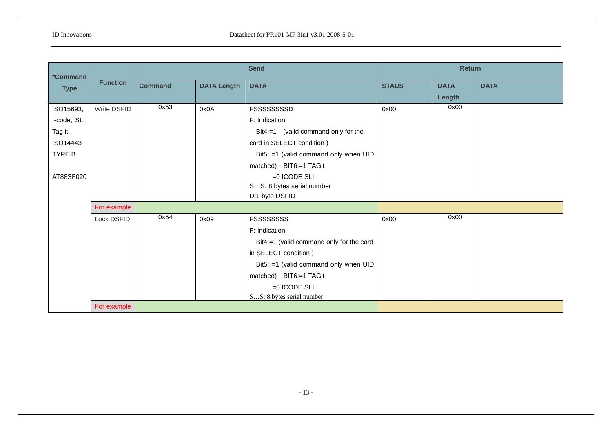| <i><b>*Command</b></i><br><b>Type</b> | <b>Function</b>      | <b>Send</b>    |                    |                                          | <b>Return</b> |                       |             |  |
|---------------------------------------|----------------------|----------------|--------------------|------------------------------------------|---------------|-----------------------|-------------|--|
|                                       |                      | <b>Command</b> | <b>DATA Length</b> | <b>DATA</b>                              | <b>STAUS</b>  | <b>DATA</b><br>Length | <b>DATA</b> |  |
| ISO15693,                             | Write DSFID          | 0x53           | 0x0A               | FSSSSSSSSD                               | 0x00          | 0x00                  |             |  |
| I-code, SLI,                          |                      |                |                    | F: Indication                            |               |                       |             |  |
| Tag it                                |                      |                |                    | Bit4:=1 (valid command only for the      |               |                       |             |  |
| ISO14443                              |                      |                |                    | card in SELECT condition)                |               |                       |             |  |
| TYPE B                                |                      |                |                    | Bit5: =1 (valid command only when UID    |               |                       |             |  |
|                                       |                      |                |                    | matched) BIT6:=1 TAGit                   |               |                       |             |  |
| AT88SF020                             |                      |                |                    | $=0$ ICODE SLI                           |               |                       |             |  |
|                                       |                      |                |                    | SS: 8 bytes serial number                |               |                       |             |  |
|                                       |                      |                |                    | D:1 byte DSFID                           |               |                       |             |  |
|                                       | For example          |                |                    |                                          |               |                       |             |  |
|                                       | Lock DSFID           | 0x54           | 0x09               | <b>FSSSSSSSSS</b>                        | 0x00          | 0x00                  |             |  |
|                                       |                      |                |                    | F: Indication                            |               |                       |             |  |
|                                       |                      |                |                    | Bit4:=1 (valid command only for the card |               |                       |             |  |
|                                       | in SELECT condition) |                |                    |                                          |               |                       |             |  |
|                                       |                      |                |                    | Bit5: =1 (valid command only when UID    |               |                       |             |  |
|                                       |                      |                |                    | matched) BIT6:=1 TAGit                   |               |                       |             |  |
|                                       |                      |                |                    | $=0$ ICODE SLI                           |               |                       |             |  |
|                                       |                      |                |                    | SS: 8 bytes serial number                |               |                       |             |  |
|                                       | For example          |                |                    |                                          |               |                       |             |  |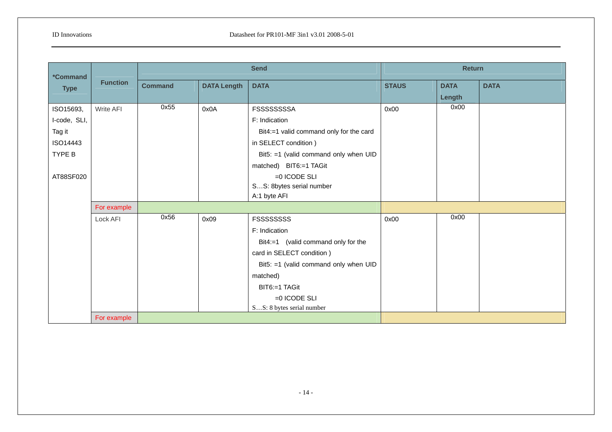| <i><b>*Command</b></i> | <b>Function</b>           | <b>Send</b>                          |                                         |                                         | <b>Return</b> |             |             |  |
|------------------------|---------------------------|--------------------------------------|-----------------------------------------|-----------------------------------------|---------------|-------------|-------------|--|
| <b>Type</b>            |                           | <b>DATA Length</b><br><b>Command</b> |                                         | <b>DATA</b>                             | <b>STAUS</b>  | <b>DATA</b> | <b>DATA</b> |  |
|                        |                           |                                      |                                         |                                         |               | Length      |             |  |
| ISO15693,              | Write AFI                 | 0x55                                 | 0x0A                                    | <b>FSSSSSSSSA</b>                       | 0x00          | 0x00        |             |  |
| I-code, SLI,           |                           |                                      |                                         | F: Indication                           |               |             |             |  |
| Tag it                 |                           |                                      |                                         | Bit4:=1 valid command only for the card |               |             |             |  |
| ISO14443               |                           |                                      |                                         | in SELECT condition)                    |               |             |             |  |
| TYPE B                 |                           |                                      |                                         | Bit5: =1 (valid command only when UID   |               |             |             |  |
|                        |                           |                                      |                                         | matched) BIT6:=1 TAGit                  |               |             |             |  |
| AT88SF020              |                           |                                      |                                         | $=0$ ICODE SLI                          |               |             |             |  |
|                        |                           |                                      |                                         | SS: 8bytes serial number                |               |             |             |  |
|                        |                           |                                      |                                         | A:1 byte AFI                            |               |             |             |  |
|                        | For example               |                                      |                                         |                                         |               |             |             |  |
|                        | Lock AFI                  | 0x56                                 | 0x09                                    | <b>FSSSSSSSSS</b>                       | 0x00          | 0x00        |             |  |
|                        |                           |                                      |                                         | F: Indication                           |               |             |             |  |
|                        |                           |                                      |                                         | Bit4:=1 (valid command only for the     |               |             |             |  |
|                        | card in SELECT condition) |                                      |                                         |                                         |               |             |             |  |
|                        |                           |                                      | Bit5: $=1$ (valid command only when UID |                                         |               |             |             |  |
|                        |                           |                                      |                                         | matched)                                |               |             |             |  |
|                        |                           |                                      |                                         | BIT6:=1 TAGit                           |               |             |             |  |
|                        |                           |                                      |                                         | $=0$ ICODE SLI                          |               |             |             |  |
|                        |                           |                                      |                                         | SS: 8 bytes serial number               |               |             |             |  |
|                        | For example               |                                      |                                         |                                         |               |             |             |  |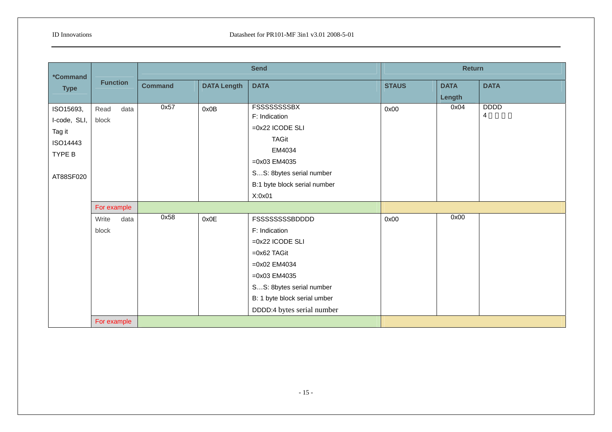| <i><b>*Command</b></i> |                 |                |                          | <b>Send</b>                  | <b>Return</b> |             |             |  |
|------------------------|-----------------|----------------|--------------------------|------------------------------|---------------|-------------|-------------|--|
| <b>Type</b>            | <b>Function</b> | <b>Command</b> | <b>DATA Length</b>       | <b>DATA</b>                  | <b>STAUS</b>  | <b>DATA</b> | <b>DATA</b> |  |
|                        |                 |                |                          |                              |               | Length      |             |  |
| ISO15693,              | Read<br>data    | 0x57           | 0x0B                     | <b>FSSSSSSSSBX</b>           | 0x00          | 0x04        | <b>DDDD</b> |  |
| I-code, SLI,           | block           |                |                          | F: Indication                |               |             | 4           |  |
| Tag it                 |                 |                |                          | $=0x22$ ICODE SLI            |               |             |             |  |
| ISO14443               |                 |                |                          | <b>TAGit</b>                 |               |             |             |  |
| TYPE B                 |                 |                |                          | EM4034                       |               |             |             |  |
|                        |                 |                |                          | $=0x03$ EM4035               |               |             |             |  |
| AT88SF020              |                 |                |                          | SS: 8bytes serial number     |               |             |             |  |
|                        |                 |                |                          | B:1 byte block serial number |               |             |             |  |
|                        |                 |                |                          | X:0x01                       |               |             |             |  |
|                        | For example     |                |                          |                              |               |             |             |  |
|                        | Write<br>data   | 0x58           | 0x0E                     | <b>FSSSSSSSSBDDDD</b>        | 0x00          | 0x00        |             |  |
|                        | block           |                |                          | F: Indication                |               |             |             |  |
|                        |                 |                |                          | $=0x22$ ICODE SLI            |               |             |             |  |
|                        |                 |                |                          | $=0x62$ TAGit                |               |             |             |  |
|                        |                 |                |                          | $=0x02$ EM4034               |               |             |             |  |
|                        |                 |                |                          | $=0x03$ EM4035               |               |             |             |  |
|                        |                 |                | SS: 8bytes serial number |                              |               |             |             |  |
|                        |                 |                |                          | B: 1 byte block serial umber |               |             |             |  |
|                        |                 |                |                          | DDDD:4 bytes serial number   |               |             |             |  |
|                        | For example     |                |                          |                              |               |             |             |  |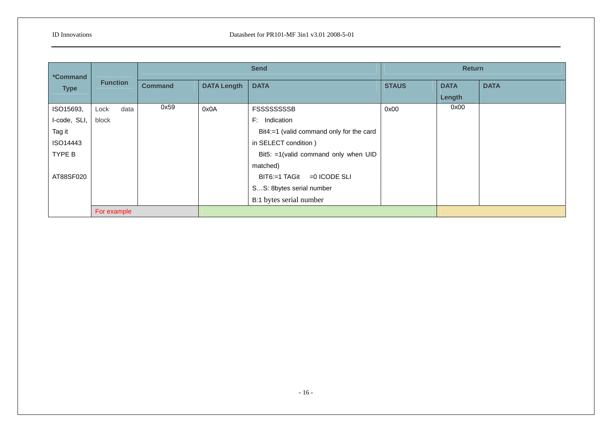| <i><b>*Command</b></i><br><b>Type</b> | <b>Function</b> |      | <b>Send</b>    |                               | <b>Return</b>                            |              |             |             |
|---------------------------------------|-----------------|------|----------------|-------------------------------|------------------------------------------|--------------|-------------|-------------|
|                                       |                 |      | <b>Command</b> | <b>DATA Length</b>            | <b>DATA</b>                              | <b>STAUS</b> | <b>DATA</b> | <b>DATA</b> |
|                                       |                 |      |                |                               |                                          |              | Length      |             |
| ISO15693,                             | Lock            | data | 0x59           | 0x0A                          | <b>FSSSSSSSSB</b>                        | 0x00         | 0x00        |             |
| I-code, SLI,                          | block           |      |                |                               | F: Indication                            |              |             |             |
| Tag it                                |                 |      |                |                               | Bit4:=1 (valid command only for the card |              |             |             |
| ISO14443                              |                 |      |                |                               | in SELECT condition)                     |              |             |             |
| TYPE B                                |                 |      |                |                               | Bit5: =1(valid command only when UID     |              |             |             |
|                                       |                 |      |                |                               | matched)                                 |              |             |             |
| AT88SF020                             |                 |      |                | $BIT6:=1$ TAGit = 0 ICODE SLI |                                          |              |             |             |
|                                       |                 |      |                | SS: 8bytes serial number      |                                          |              |             |             |
|                                       |                 |      |                | B:1 bytes serial number       |                                          |              |             |             |
|                                       | For example     |      |                |                               |                                          |              |             |             |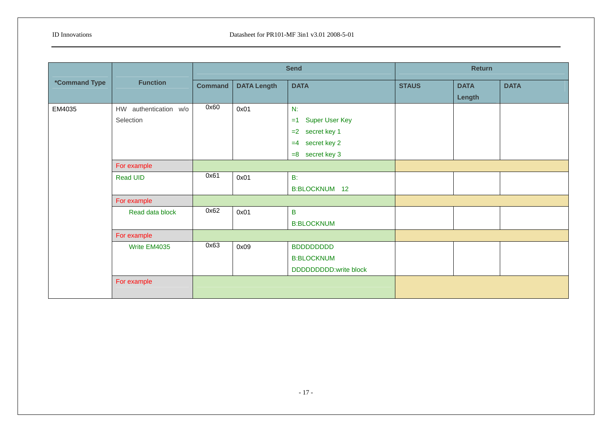|                             | <b>Function</b>       |                |                    | <b>Send</b>                   | <b>Return</b> |             |             |
|-----------------------------|-----------------------|----------------|--------------------|-------------------------------|---------------|-------------|-------------|
| <i><b>*Command Type</b></i> |                       | <b>Command</b> | <b>DATA Length</b> | <b>DATA</b>                   | <b>STAUS</b>  | <b>DATA</b> | <b>DATA</b> |
|                             |                       |                |                    |                               |               | Length      |             |
| EM4035                      | HW authentication w/o | 0x60           | 0x01               | N:                            |               |             |             |
|                             | Selection             |                |                    | <b>Super User Key</b><br>$=1$ |               |             |             |
|                             |                       |                |                    | $=2$ secret key 1             |               |             |             |
|                             |                       |                |                    | secret key 2<br>$=4$          |               |             |             |
|                             |                       |                |                    | $=8$ secret key 3             |               |             |             |
|                             | For example           |                |                    |                               |               |             |             |
|                             | Read UID              | 0x61           | 0x01               | $B$ :                         |               |             |             |
|                             |                       |                |                    | B:BLOCKNUM 12                 |               |             |             |
|                             | For example           |                |                    |                               |               |             |             |
|                             | Read data block       | 0x62           | 0x01               | $\overline{B}$                |               |             |             |
|                             |                       |                |                    | <b>B:BLOCKNUM</b>             |               |             |             |
|                             | For example           |                |                    |                               |               |             |             |
|                             | Write EM4035          | 0x63           | 0x09               | <b>BDDDDDDDD</b>              |               |             |             |
|                             |                       |                |                    | <b>B:BLOCKNUM</b>             |               |             |             |
|                             |                       |                |                    | DDDDDDDDD:write block         |               |             |             |
|                             | For example           |                |                    |                               |               |             |             |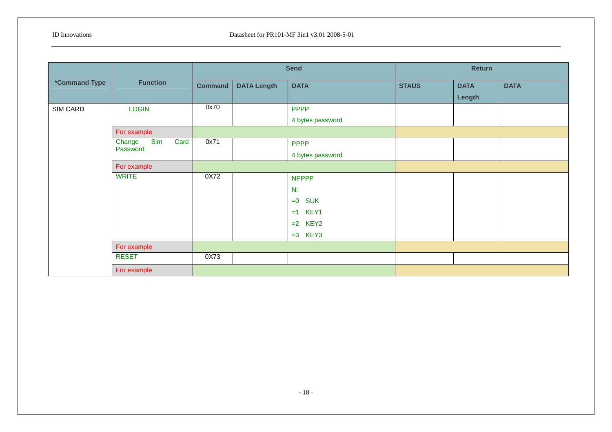|                             | <b>Function</b>                   | <b>Send</b>    |                    |                     | <b>Return</b> |             |             |  |
|-----------------------------|-----------------------------------|----------------|--------------------|---------------------|---------------|-------------|-------------|--|
| <i><b>*Command Type</b></i> |                                   | <b>Command</b> | <b>DATA Length</b> | <b>DATA</b>         | <b>STAUS</b>  | <b>DATA</b> | <b>DATA</b> |  |
|                             |                                   |                |                    |                     |               | Length      |             |  |
| SIM CARD                    | <b>LOGIN</b>                      | 0x70           |                    | <b>PPPP</b>         |               |             |             |  |
|                             |                                   |                |                    | 4 bytes password    |               |             |             |  |
|                             | For example                       |                |                    |                     |               |             |             |  |
|                             | Sim<br>Card<br>Change<br>Password | 0x71           |                    | <b>PPPP</b>         |               |             |             |  |
|                             |                                   |                |                    | 4 bytes password    |               |             |             |  |
|                             | For example                       |                |                    |                     |               |             |             |  |
|                             | <b>WRITE</b>                      | 0X72           |                    | <b>NPPPP</b>        |               |             |             |  |
|                             |                                   |                |                    | N:                  |               |             |             |  |
|                             |                                   |                |                    | <b>SUK</b><br>$= 0$ |               |             |             |  |
|                             |                                   |                |                    | KEY1<br>$=1$        |               |             |             |  |
|                             |                                   |                |                    | $=2$ KEY2           |               |             |             |  |
|                             |                                   |                |                    | $=3$ KEY3           |               |             |             |  |
|                             | For example                       |                |                    |                     |               |             |             |  |
|                             | <b>RESET</b>                      | 0X73           |                    |                     |               |             |             |  |
|                             | For example                       |                |                    |                     |               |             |             |  |